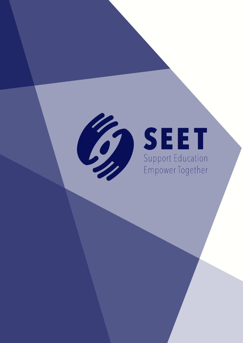

# SEET

Empower Together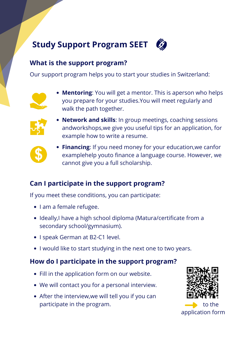# **Study Support Program SEET**

## **What is the support program?**

Our support program helps you to start your studies in Switzerland:



**Mentoring**: You will get a mentor. This is aperson who helps you prepare for your studies.You will meet regularly and walk the path together.



**Network and skills**: In group meetings, coaching sessions andworkshops,we give you useful tips for an application, for example how to write a resume.



**Financing**: If you need money for your education,we canfor examplehelp youto finance a language course. However, we cannot give you a full scholarship.

# **Can I participate in the support program?**

If you meet these conditions, you can participate:

- I am a female refugee.
- Ideally, I have a high school diploma (Matura/certificate from a secondary school/gymnasium).
- I speak German at B2-C1 level.
- I would like to start studying in the next one to two years.

# **How do I participate in the support program?**

- Fill in the application form on our website.
- We will contact you for a personal interview.
- After the interview, we will tell you if you can participate in the program.



application form to the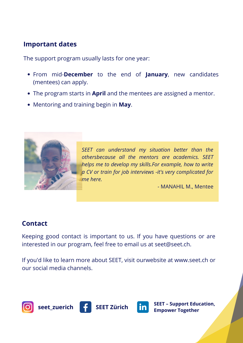## **Important dates**

The support program usually lasts for one year:

- From mid-**December** to the end of **January**, new candidates (mentees) can apply.
- The program starts in **April** and the mentees are assigned a mentor.
- Mentoring and training begin in **May**.



*SEET can understand my situation better than the othersbecause all the mentors are academics. SEET helps me to develop my skills.For example, how to write a CV or train for job interviews -it's very complicated for me here.*

*-* MANAHIL M., Mentee

#### **Contact**

Keeping good contact is important to us. If you have questions or are interested in our program, feel free to email us at seet@seet.ch.

If you'd like to learn more about SEET, visit ourwebsite at www.seet.ch or our social media channels.